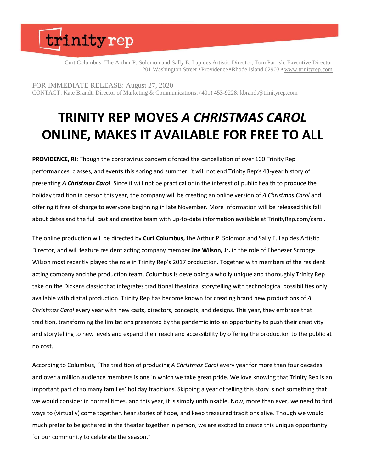## trinityrep

Curt Columbus, The Arthur P. Solomon and Sally E. Lapides Artistic Director, Tom Parrish, Executive Director 201 Washington Street • Providence • Rhode Island 02903 • [www.trinityrep.com](http://www.trinityrep.com/)

FOR IMMEDIATE RELEASE: August 27, 2020 CONTACT: Kate Brandt, Director of Marketing & Communications; (401) 453-9228; kbrandt@trinityrep.com

## **TRINITY REP MOVES** *A CHRISTMAS CAROL* **ONLINE, MAKES IT AVAILABLE FOR FREE TO ALL**

**PROVIDENCE, RI**: Though the coronavirus pandemic forced the cancellation of over 100 Trinity Rep performances, classes, and events this spring and summer, it will not end Trinity Rep's 43-year history of presenting *A Christmas Carol*. Since it will not be practical or in the interest of public health to produce the holiday tradition in person this year, the company will be creating an online version of *A Christmas Carol* and offering it free of charge to everyone beginning in late November. More information will be released this fall about dates and the full cast and creative team with up-to-date information available at TrinityRep.com/carol.

The online production will be directed by **Curt Columbus,** the Arthur P. Solomon and Sally E. Lapides Artistic Director, and will feature resident acting company member **Joe Wilson, Jr.** in the role of Ebenezer Scrooge. Wilson most recently played the role in Trinity Rep's 2017 production. Together with members of the resident acting company and the production team, Columbus is developing a wholly unique and thoroughly Trinity Rep take on the Dickens classic that integrates traditional theatrical storytelling with technological possibilities only available with digital production. Trinity Rep has become known for creating brand new productions of *A Christmas Carol* every year with new casts, directors, concepts, and designs. This year, they embrace that tradition, transforming the limitations presented by the pandemic into an opportunity to push their creativity and storytelling to new levels and expand their reach and accessibility by offering the production to the public at no cost.

According to Columbus, "The tradition of producing *A Christmas Carol* every year for more than four decades and over a million audience members is one in which we take great pride. We love knowing that Trinity Rep is an important part of so many families' holiday traditions. Skipping a year of telling this story is not something that we would consider in normal times, and this year, it is simply unthinkable. Now, more than ever, we need to find ways to (virtually) come together, hear stories of hope, and keep treasured traditions alive. Though we would much prefer to be gathered in the theater together in person, we are excited to create this unique opportunity for our community to celebrate the season."